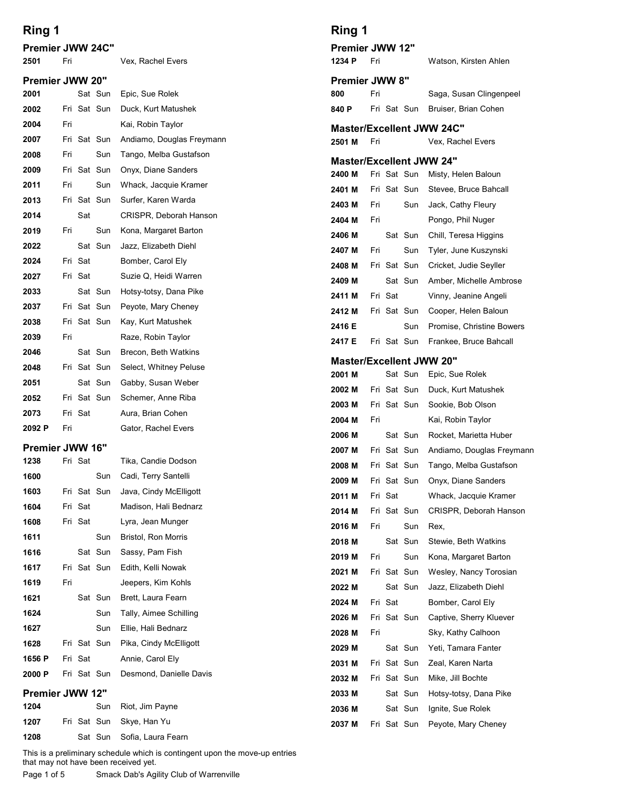| Ring 1<br><b>Premier JWW 24C"</b><br>2501 | Fri                                                                         |         |                    | Vex, Rachel Evers                         | Ring 1<br><b>Premier JWW 12"</b><br>1234 P | Fri |         |                            |  |
|-------------------------------------------|-----------------------------------------------------------------------------|---------|--------------------|-------------------------------------------|--------------------------------------------|-----|---------|----------------------------|--|
| <b>Premier JWW 20"</b>                    |                                                                             |         |                    |                                           | <b>Premier JWW 8"</b>                      |     |         |                            |  |
| 2001                                      |                                                                             |         | Sat Sun            | Epic, Sue Rolek                           | 800                                        | Fri |         |                            |  |
| 2002                                      |                                                                             |         | Fri Sat Sun        | Duck, Kurt Matushek                       | 840 P                                      |     |         | Fri Sat Sun                |  |
| 2004                                      | Fri                                                                         |         |                    | Kai, Robin Taylor                         | <b>Master/Excellent JW</b>                 |     |         |                            |  |
| 2007                                      |                                                                             |         | Fri Sat Sun        | Andiamo, Douglas Freymann                 | 2501 M                                     | Fri |         |                            |  |
| 2008                                      | Fri                                                                         |         | Sun                | Tango, Melba Gustafson                    | <b>Master/Excellent JW</b>                 |     |         |                            |  |
| 2009                                      |                                                                             |         | Fri Sat Sun        | Onyx, Diane Sanders                       | 2400 M                                     |     |         | Fri Sat Sun                |  |
| 2011                                      | Fri                                                                         |         | Sun                | Whack, Jacquie Kramer                     | 2401 M                                     |     |         | Fri Sat Sun                |  |
| 2013                                      |                                                                             |         | Fri Sat Sun        | Surfer, Karen Warda                       | 2403 M                                     | Fri |         | Sun                        |  |
| 2014                                      |                                                                             | Sat     |                    | CRISPR, Deborah Hanson                    | 2404 M                                     | Fri |         |                            |  |
| 2019                                      | Fri                                                                         |         | Sun                | Kona, Margaret Barton                     | 2406 M                                     |     |         | Sat Sun                    |  |
| 2022                                      |                                                                             |         | Sat Sun            | Jazz, Elizabeth Diehl                     | 2407 M                                     | Fri |         | Sun                        |  |
| 2024                                      |                                                                             | Fri Sat |                    | Bomber, Carol Ely                         | 2408 M                                     |     |         | Fri Sat Sun                |  |
| 2027                                      |                                                                             | Fri Sat |                    | Suzie Q, Heidi Warren                     | 2409 M                                     |     |         | Sat Sun                    |  |
| 2033                                      |                                                                             |         | Sat Sun            | Hotsy-totsy, Dana Pike                    | 2411 M                                     |     | Fri Sat |                            |  |
| 2037                                      |                                                                             |         | Fri Sat Sun        | Peyote, Mary Cheney<br>Kay, Kurt Matushek | 2412 M                                     |     |         | Fri Sat Sun                |  |
| 2038<br>2039                              | Fri                                                                         |         | Fri Sat Sun        | Raze, Robin Taylor                        | 2416 E                                     |     |         | Sun                        |  |
| 2046                                      |                                                                             |         | Sat Sun            | Brecon, Beth Watkins                      | 2417 E                                     |     |         | Fri Sat Sun                |  |
| 2048                                      |                                                                             |         | Fri Sat Sun        | Select, Whitney Peluse                    | <b>Master/Excellent JW</b>                 |     |         |                            |  |
| 2051                                      |                                                                             |         | Sat Sun            | Gabby, Susan Weber                        | 2001 M                                     |     |         | Sat Sun                    |  |
| 2052                                      |                                                                             |         | Fri Sat Sun        | Schemer, Anne Riba                        | 2002 M                                     |     |         | Fri Sat Sun                |  |
| 2073                                      |                                                                             | Fri Sat |                    | Aura, Brian Cohen                         | 2003 M                                     |     |         | Fri Sat Sun                |  |
| 2092 P                                    | Fri                                                                         |         |                    | Gator, Rachel Evers                       | 2004 M                                     | Fri |         |                            |  |
| <b>Premier JWW 16"</b>                    |                                                                             |         |                    |                                           | 2006 M                                     |     |         | Sat Sun                    |  |
| 1238                                      |                                                                             | Fri Sat |                    | Tika, Candie Dodson                       | 2007 M                                     |     |         | Fri Sat Sun                |  |
| 1600                                      |                                                                             |         | Sun                | Cadi, Terry Santelli                      | 2008 M                                     |     |         | Fri Sat Sun<br>Fri Sat Sun |  |
| 1603                                      |                                                                             |         | Fri Sat Sun        | Java, Cindy McElligott                    | 2009 M<br>2011 M                           |     | Fri Sat |                            |  |
| 1604                                      |                                                                             | Fri Sat |                    | Madison, Hali Bednarz                     | 2014 M                                     |     |         | Fri Sat Sun                |  |
| 1608                                      |                                                                             | Fri Sat |                    | Lyra, Jean Munger                         | 2016 M                                     | Fri |         | Sun                        |  |
| 1611                                      |                                                                             |         | Sun                | Bristol, Ron Morris                       | 2018 M                                     |     |         | Sat Sun                    |  |
| 1616                                      |                                                                             |         | Sat Sun            | Sassy, Pam Fish                           | 2019 M                                     | Fri |         | Sun                        |  |
| 1617                                      |                                                                             |         | Fri Sat Sun        | Edith, Kelli Nowak                        | 2021 M                                     |     |         | Fri Sat Sun                |  |
| 1619                                      | Fri                                                                         |         |                    | Jeepers, Kim Kohls                        | 2022 M                                     |     |         | Sat Sun                    |  |
| 1621                                      |                                                                             |         | Sat Sun            | Brett, Laura Fearn                        | 2024 M                                     |     | Fri Sat |                            |  |
| 1624                                      |                                                                             |         | Sun                | Tally, Aimee Schilling                    | 2026 M                                     |     |         | Fri Sat Sun                |  |
| 1627                                      |                                                                             |         | Sun                | Ellie, Hali Bednarz                       | 2028 M                                     | Fri |         |                            |  |
| 1628                                      |                                                                             |         | Fri Sat Sun        | Pika, Cindy McElligott                    | 2029 M                                     |     |         | Sat Sun                    |  |
| 1656 P                                    |                                                                             | Fri Sat |                    | Annie, Carol Ely                          | 2031 M                                     |     |         | Fri Sat Sun                |  |
| 2000 P                                    |                                                                             |         | Fri Sat Sun        | Desmond, Danielle Davis                   | 2032 M                                     |     |         | Fri Sat Sun                |  |
| <b>Premier JWW 12"</b>                    |                                                                             |         |                    |                                           | 2033 M                                     |     |         | Sat Sun                    |  |
| 1204                                      |                                                                             |         | Sun<br>Fri Sat Sun | Riot, Jim Payne                           | 2036 M                                     |     |         | Sat Sun                    |  |
| 1207                                      |                                                                             |         |                    | Skye, Han Yu                              | 2037 M                                     |     |         | Fri Sat Sun                |  |
| 1208                                      | This is a preliminary schedule which is contingent upon the move-up entries |         | Sat Sun            | Sofia, Laura Fearn                        |                                            |     |         |                            |  |

Ring 1 Premier JWW 12" 1234 P Fri <sup>4</sup> Watson, Kirsten Ahlen Premier JWW 8" 800 Fri Saga, Susan Clingenpeel **Ring 1**<br>
Premier JWW 12"<br>
1234 P Fri Watson, Kirsten Ahlen<br>
Premier JWW 8"<br>
Saga, Susan Clingenpeel<br>
840 P Fri Sat Sun Bruiser, Brian Cohen<br>
Master/Excellent JWW 24C"<br>
2501 M Fri Vex, Rachel Evers<br>
Master/Excellent JWW 24 Bruiser, Brian Cohen nt JWW 24C" 2501 M Fri Vex, Rachel Evers nt JWW 24" **Ring 1**<br>
Premier JWW 12"<br>
1234 P Fri Watson, Kirsten Ahlen<br> **Premier JWW 8"**<br>
800 Fri Sat Sun Bruiser, Brian Cohen<br>
Master/Excellent JWW 24C"<br>
12501 M Fri Vex, Rachel Evers<br>
Master/Excellent JWW 24"<br>
12400 M Fri Sat Sun M Misty, Helen Baloun **Ring 1**<br> **Premier JWW 12"**<br>
1234 P Fri Watson, Kirsten Ahlen<br> **Premier JWW 8"**<br>
800 Fri Sat Sun Bruiser, Brian Cohen<br> **Master/Excellent JWW 24C"**<br>
12501 M Fri Vex, Rachel Evers<br> **Master/Excellent JWW 24"**<br>
12400 M Fri Sat Stevee, Bruce Bahcall **Ring 1**<br> **Premier JWW 12"**<br>
Watson, Kirsten Ahlen<br> **Premier JWW 8"**<br>
800 Fri Saga, Susan Clingenpeel<br>
840 P Fri Sat Sun Bruiser, Brian Cohen<br>
Master/Excellent JWW 24C"<br>
2501 M Fri Vex, Rachel Evers<br>
Master/Excellent JWW 2  $\ddot{\phantom{a}}$ Jack, Cathy Fleury 2404 M Fri Pongo, Phil Nuger **Ring 1**<br> **Premier JWW 12"**<br> **Premier JWW 8"**<br> **Premier JWW 8"**<br> **EXECUTE THE SATE SUPER SUPER SUPER SAMPLE SATE SATE SUPER SAMPLE VERTILE SATE SUPER SAMPLE VERTILE SATE SUPER SAMPLE FOR SAMPLE FOR SATE SUPER SAMPLE SAMPLE** Chill, Teresa Higgins **Ring 1**<br> **Premier JWW 12"**<br> **Premier JWW 8"**<br> **Premier JWW 8"**<br> **Saga, Susan Clingenpeel<br>
440 P Fri Sat Sun Bruiser, Brian Cohen<br>
<b>Master/Excellent JWW 24C"**<br> **Master/Excellent JWW 24"<br>
2400 M Fri Sat Sun Misty, Helen Bal** Tyler, June Kuszynski **Ring 1**<br> **Premier JWW 12"**<br> **Premier JWW 8"**<br> **Premier JWW 8"**<br> **Saga, Susan Clingenpeel**<br> **Raster/Excellent JWW 24C"**<br> **Master/Excellent JWW 24C"**<br> **Master/Excellent JWW 24"**<br> **Master/Excellent JWW 24"**<br> **Master/Excellen** Cricket, Judie Seyller **Ring 1**<br> **Premier JWW 12"**<br> **Premier JWW 8"**<br> **Premier JWW 8"**<br> **Saga, Susan Clingenpeel**<br> **Radder/Excellent JWW 24C"**<br> **Master/Excellent JWW 24"**<br> **Master/Excellent JWW 24"**<br> **Master/Excellent JWW 24"**<br> **Master/Excellent** Amber, Michelle Ambrose **Example 1**<br> **Premier JWW 12"**<br>
Watson, Kirsten Ahlen<br> **Premier JWW 8"**<br> **Saga, Susan Clingenpeel**<br> **Saga, Susan Clingenpeel**<br> **Master/Excellent JWW 24C"**<br> **Master/Excellent JWW 24"**<br> **Master/Excellent JWW 24"**<br> **Master/Ex** Vinny, Jeanine Angeli **Premier JWW 12"**<br>
Watson, Kirsten Ahlen<br> **Premier JWW 8"**<br>
Saga, Susan Clingenpeel<br>
840 P Fri Sat Sun Bruiser, Brian Cohen<br>
Master/Excellent JWW 24"<br>
2501 M Fri Sat Sun Misty, Helen Baloun<br>
2400 M Fri Sat Sun Misty, Helen **Premier JWW 8"**<br>
Saga, Susan Clingenpeel<br> **Master/Excellent JWW 24C"**<br>
2501 M Fri Vex, Rachel Evers<br> **Master/Excellent JWW 24"**<br>
2400 M Fri Sat Sun Misty, Helen Baloun<br>
2401 M Fri Sat Sun Misty, Helen Baloun<br>
2401 M Fri S 940 P Fri Sat Sun Bruiser, Brian Conen<br>
Master/Excellent JWW 24C"<br>
2001 M Fri Vex, Rachel Evers<br>
Master/Excellent JWW 24"<br>
2400 M Fri Sat Sun Misty, Helen Baloun<br>
2401 M Fri Sat Sun Sure, Bruce Barcall<br>
2403 M Fri Sat Sun

Cooper, Helen Baloun 2416 E **Sun Promise, Christine Bowers** Frankee, Bruce Bahcall nt JWW 20" Epic, Sue Rolek Master/Excellent JWW 24C"<br>2501 M Fri Vex, Rachel Evers<br>
Master/Excellent JWW 24"<br>
2400 M Fri Sat Sun Misty, Helen Baloun<br>
2403 M Fri Sat Sun Stevee, Brice Bahcall<br>
2403 M Fri Sun Jack, Cathy Feury<br>
2404 M Fri Sun Chill, Te <sup>2</sup> Duck, Kurt Matushek 2501 M Fri Vex, Rachel Evers<br>
Master/Excellent JWW 24"<br>
2400 M Fri Sat Sun Misty, Helen Baloun<br>
2404 M Fri Sat Sun Stevee, Bruce Bahcall<br>
2004 M Fri Sun Jack, Cathy Fleury<br>
2006 M Sat Sun Chill, Teresa Higgins<br>
2407 M Fri <sup>3</sup> Sookie, Bob Olson 2004 M Fri Kai, Robin Taylor 2400 M Fri Sat Sun Misty, Helen Baloun<br>
2401 M Fri Sat Sun Stevee, Bruce Bahcall<br>
2403 M Fri Sun Jack, Cathy Fleury<br>
2404 M Fri Sun Jack, Cathy Fleury<br>
2406 M Sat Sun Chill, Teresa Higgins<br>
2407 M Fri Sun Tyler, June Kuzyn <sup>5</sup> Rocket, Marietta Huber 2401 M Fri Sat Sun Stevee, Bruce Bahcall<br>
2403 M Fri Sun Jack, Cathy Fleury<br>
2404 M Fri Pongo, Phil Nuger<br>
2406 M Sat Sun Chill, Teresa Higgins<br>
2407 M Fri Sun Crick, Ludie Seyller<br>
2408 M Sat Sun Crick, Ludie Seyller<br>
240 <sup>6</sup> Andiamo, Douglas Freymann 2403 M Fri Sun Jack, Cathy Fleury<br>
2404 M Fri Pongo, Phil Nuger<br>
2406 M Sat Sun Chill, Teresa Higgins<br>
2407 M Fri Sun Tyler, June Kuszynski<br>
2409 M Fri Sat Sun Cricket, Judie Seyller<br>
2411 M Fri Sat Sun Amber, Michelle Amb <sup>7</sup> Tango, Melba Gustafson 2404 M Fri Pongo, Phil Nuger<br>
2406 M Sat Sun Chill, Teresa Higgins<br>
2407 M Fri Sun Tyler, June Kuszynski<br>
2407 M Fri Sat Sun Cricket, Judie Seyller<br>
2419 M Fri Sat Sun Amber, Michelle Ambrose<br>
2411 M Fri Sat Sun Conger, He Onyx, Diane Sanders 2406 M Sat Sun Chill, Teresa Higgins<br>
2407 M Fri Sun Tyler, June Kuszynski<br>
2408 M Fri Sat Sun Cricket, Judie Seyller<br>
2409 M Sat Sun Amber, Michelle Ambrose<br>
2411 M Fri Sat Sun Cooper, Helen Baloun<br>
2416 E Sun Promise, Ch 2407 M Fri Sun Tyler, June Kuszynski<br>
2408 M Fri Sat Sun Cricket, Judie Seyller<br>
2409 M Sat Sun Amber, Michelle Ambrose<br>
2411 M Fri Sat Sun Cooper, Helen Baloun<br>
2412 M Fri Sat Sun Promise, Christine Bowers<br>
2412 M Fri Sat 2408 M Fri Sat Sun Cricket, Judie Seyller<br>
2409 M Sat Sun Amber, Michelle Ambrose<br>
2411 M Fri Sat Sun Cooper, Helen Baloun<br>
2412 M Fri Sat Sun Cooper, Helen Baloun<br>
2117 E Fri Sat Sun Frankee, Bruce Bahcall<br>
2001 M Sat Sun 2409 M Sat Sun Amber, Michelle Ambrose<br>
2411 M Fri Sat Vinny, Jeanine Angeli<br>
2412 M Fri Sat Sun Cooper, Helen Baloun<br>
2416 E Sun Promise, Christine Bowers<br>
2017 E Fri Sat Sun Frankee, Bruce Bahcall<br>
2020 M Fri Sat Sun Duc 2411 M Fri Sat Vinny, Jeanine Angeli<br>
2412 M Fri Sat Sun Cooper, Helen Baloun<br>
2416 E Sun Promise, Christine Bowers<br>
2417 E Fri Sat Sun Frankee, Bruce Bahcall<br> **Master/Excellent JWW 20"**<br>
2001 M Fri Sat Sun Duck, Kurt Matu 2412 M Fri Sat Sun Cooper, Helen Baloun<br>2416 E Sun Promise, Christine Bowers<br>2417 E Fri Sat Sun Frankee, Bruce Bahcall<br>**Master/Excellent JWW 20"**<br>2001 M Sat Sun Epic, Sue Rolek<br>2002 M Fri Sat Sun Duck, Kurt Matushek<br>2002 M 2416 E Sun Promise, Christine Bowers<br>
2417 E Fri Sat Sun Frankee, Bruce Bahcall<br>
Master/Excellent JWW 20"<br>
2001 M Sat Sun Epic, Sue Rolek<br>
2002 M Fri Sat Sun Duck, Kurt Matushek<br>
2003 M Fri Sat Sun Sookie, Bob Olson<br>
2006

# Whack, Jacquie Kramer CRISPR, Deborah Hanson<br>Rex, 11 Rex, and the contract of the contract of the contract of the contract of the contract of the contract of the contract of the contract of the contract of the contract of the contract of the contract of the contract of th Stewie, Beth Watkins Kona, Margaret Barton Wesley, Nancy Torosian  $15.5$ Jazz, Elizabeth Diehl 2417 E Fri Sat Sun Frankee, Bruce Bahcall<br>
Master/Excellent JWW 20"<br>
2001 M Sat Sun Epic, Sue Rolek<br>
2002 M Fri Sat Sun Duck, Kurt Matushek<br>
2003 M Fri Sat Sun Sookie, Bob Olson<br>
2006 M Fri Sat Sun Rocket, Marieta Huber<br>
2 Bomber, Carol Ely Master/Excellent JWW 20"<br>2001 M Sat Sun Epic, Sue Rolek<br>2002 M Fri Sat Sun Duck, Kurt Matushek<br>2003 M Fri Sat Sun Sookie, Bob Olson<br>2006 M Sat Sun Rocket, Marietta Huber<br>2006 M Fri Sat Sun Andiamo, Douglas Freymann<br>2008 M Captive, Sherry Kluever 2028 M Fri Sky, Kathy Calhoon 2002 M Fri Sat Sun Duck, Kurt Matushek<br>
2003 M Fri Sat Sun Sookie, Bob Olson<br>
2004 M Fri Kai, Robin Taylor<br>
2006 M Sat Sun Rocket, Marietta Huber<br>
2007 M Fri Sat Sun Tango, Melba Gustafson<br>
2019 M Fri Sat Sun Tango, Melba Yeti, Tamara Fanter 2003 M Fri Sat Sun Sookie, Bob Olson<br>
2004 M Fri Kai, Robin Taylor<br>
2006 M Sat Sun Rocket, Marietta Huber<br>
2007 M Fri Sat Sun Andiamo, Douglas Freymann<br>
2017 M Fri Sat Sun Tango, Melba Gustafson<br>
2019 M Fri Sat Sun Chryc, Zeal, Karen Narta 2004 M Fri Kai, Robin Taylor<br>
2006 M Sat Sun Rocket, Marietta Huber<br>
2007 M Fri Sat Sun Andiamo, Douglas Freymann<br>
2008 M Fri Sat Sun Tango, Melba Gustafson<br>
2009 M Fri Sat Sun Onyx, Diane Sanders<br>
2014 M Fri Sat Sun CRISP Mike, Jill Bochte 2006 M Sat Sun Rocket, Marietta Huber<br>
2007 M Fri Sat Sun Andiamo, Douglas Freymann<br>
2008 M Fri Sat Sun Tango, Melba Gustafson<br>
2019 M Fri Sat Sun Onyx, Diane Sanders<br>
2011 M Fri Sat Sun CRISPR, Deborah Hanson<br>
2016 M Fri 2007 M Fri Sat Sun Andiamo, Douglas Freymann<br>
2008 M Fri Sat Sun Tango, Melba Gustafson<br>
2009 M Fri Sat Sun Onyx, Diane Sanders<br>
2011 M Fri Sat Whack, Jacquie Kramer<br>
2014 M Fri Sat Sun CRISPR, Deborah Hanson<br>
2016 M Fri S 2008 M Fri Sat Sun Tango, Melba Gustafson<br>
2009 M Fri Sat Sun Onyx, Diane Sanders<br>
2011 M Fri Sat Whack, Jacquie Kramer<br>
2014 M Fri Sat Sun CRISPR, Deborah Hanson<br>
2018 M Fri Sun Rex,<br>
2018 M Fri Sun Kona, Margaret Barton<br>

Hotsy-totsy, Dana Pike

Ignite, Sue Rolek

23

Peyote, Mary Cheney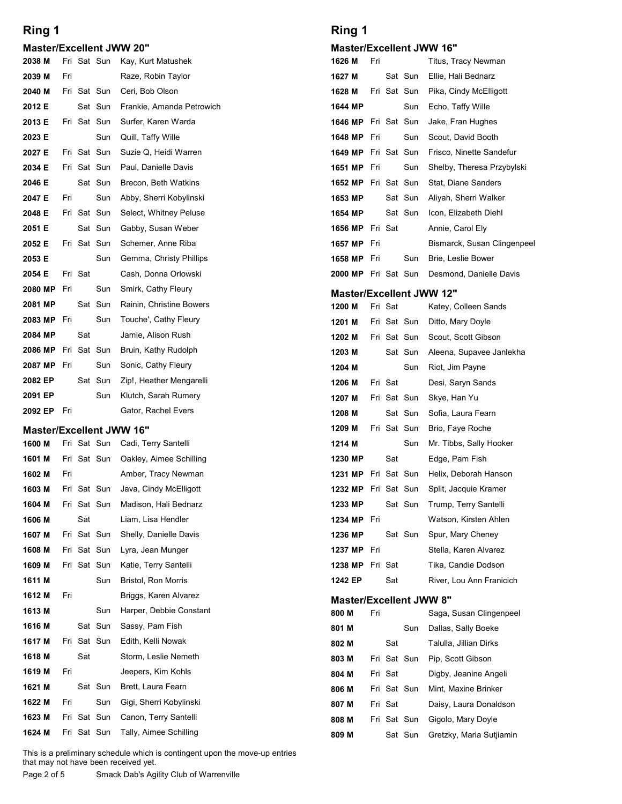#### Master/Excellent JWW 20"

|                                           |     |         |             |                                             | Ring 1                               |     |         |                        |  |
|-------------------------------------------|-----|---------|-------------|---------------------------------------------|--------------------------------------|-----|---------|------------------------|--|
| Ring 1                                    |     |         |             |                                             |                                      |     |         |                        |  |
| <b>Master/Excellent JWW 20"</b><br>2038 M |     |         | Fri Sat Sun | Kay, Kurt Matushek                          | <b>Master/Excellent JW</b><br>1626 M | Fri |         |                        |  |
| 2039 M                                    | Fri |         |             | Raze, Robin Taylor                          | 1627 M                               |     |         | Sat Sun                |  |
| 2040 M                                    |     |         | Fri Sat Sun | Ceri, Bob Olson                             | 1628 M                               |     |         | Fri Sat Sun            |  |
| 2012 E                                    |     |         | Sat Sun     | Frankie, Amanda Petrowich                   | 1644 MP                              |     |         | Sun                    |  |
| 2013 E                                    |     |         | Fri Sat Sun | Surfer, Karen Warda                         | 1646 MP                              |     |         | Fri Sat Sun            |  |
| 2023 E                                    |     |         | Sun         | Quill, Taffy Wille                          | 1648 MP                              | Fri |         | Sun                    |  |
| 2027 E                                    |     |         | Fri Sat Sun | Suzie Q, Heidi Warren                       | 1649 MP                              |     |         | Fri Sat Sun            |  |
| 2034 E                                    |     |         | Fri Sat Sun | Paul, Danielle Davis                        | <b>1651 MP</b> Fri                   |     |         | Sun                    |  |
| 2046 E                                    |     |         | Sat Sun     | Brecon, Beth Watkins                        | <b>1652 MP</b> Fri Sat Sun           |     |         |                        |  |
| 2047 E                                    | Fri |         | Sun         | Abby, Sherri Kobylinski                     | 1653 MP                              |     |         | Sat Sun                |  |
| 2048 E                                    |     |         | Fri Sat Sun | Select, Whitney Peluse                      | 1654 MP                              |     |         | Sat Sun                |  |
| 2051 E                                    |     |         | Sat Sun     | Gabby, Susan Weber                          | 1656 MP Fri Sat                      |     |         |                        |  |
| 2052 E                                    |     |         | Fri Sat Sun | Schemer, Anne Riba                          | <b>1657 MP</b> Fri                   |     |         |                        |  |
| 2053 E                                    |     |         | Sun         | Gemma, Christy Phillips                     | 1658 MP Fri                          |     |         | Sun                    |  |
| 2054 E                                    |     | Fri Sat |             | Cash, Donna Orlowski                        | 2000 MP Fri Sat Sun                  |     |         |                        |  |
| 2080 MP                                   | Fri |         | Sun         | Smirk, Cathy Fleury                         | <b>Master/Excellent JW</b>           |     |         |                        |  |
| 2081 MP                                   |     |         | Sat Sun     | Rainin, Christine Bowers                    | 1200 M                               |     | Fri Sat |                        |  |
| 2083 MP<br>2084 MP                        | Fri | Sat     | Sun         | Touche', Cathy Fleury<br>Jamie, Alison Rush | 1201 M                               |     |         | Fri Sat Sun            |  |
| 2086 MP                                   |     |         | Fri Sat Sun | Bruin, Kathy Rudolph                        | 1202 M<br>1203 M                     |     |         | Fri Sat Sun<br>Sat Sun |  |
| 2087 MP                                   | Fri |         | Sun         | Sonic, Cathy Fleury                         | 1204 M                               |     |         | Sun                    |  |
| 2082 EP                                   |     |         | Sat Sun     | Zip!, Heather Mengarelli                    | 1206 M                               |     | Fri Sat |                        |  |
| 2091 EP                                   |     |         | Sun         | Klutch, Sarah Rumery                        | 1207 M                               |     |         | Fri Sat Sun            |  |
| 2092 EP                                   | Fri |         |             | Gator, Rachel Evers                         | 1208 M                               |     |         | Sat Sun                |  |
| <b>Master/Excellent JWW 16"</b>           |     |         |             |                                             | 1209 M                               |     |         | Fri Sat Sun            |  |
| 1600 M                                    |     |         | Fri Sat Sun | Cadi, Terry Santelli                        | 1214 M                               |     |         | Sun                    |  |
| 1601 M                                    |     |         | Fri Sat Sun | Oakley, Aimee Schilling                     | 1230 MP                              |     | Sat     |                        |  |
| 1602 M                                    | Fri |         |             | Amber, Tracy Newman                         | 1231 MP                              |     |         | Fri Sat Sun            |  |
| 1603 M                                    |     |         | Fri Sat Sun | Java, Cindy McElligott                      | 1232 MP                              |     |         | Fri Sat Sun            |  |
| 1604 M                                    |     |         | Fri Sat Sun | Madison, Hali Bednarz                       | 1233 MP                              |     |         | Sat Sun                |  |
| 1606 M                                    |     | Sat     |             | Liam, Lisa Hendler                          | 1234 MP Fri                          |     |         |                        |  |
| 1607 M                                    |     |         | Fri Sat Sun | Shelly, Danielle Davis                      | 1236 MP                              |     |         | Sat Sun                |  |
| 1608 M                                    |     |         | Fri Sat Sun | Lyra, Jean Munger                           | 1237 MP Fri                          |     |         |                        |  |
| 1609 M                                    |     |         | Fri Sat Sun | Katie, Terry Santelli                       | 1238 MP Fri Sat                      |     |         |                        |  |

### Master/Excellent JWW 16"

| 2081 MP                         |     |             | Sat Sun     | Rainin, Christine Bowers                                                                                            | 1200 M                     |     | Fri Sat     |             |  |
|---------------------------------|-----|-------------|-------------|---------------------------------------------------------------------------------------------------------------------|----------------------------|-----|-------------|-------------|--|
| 2083 MP Fri                     |     |             | Sun         | Touche', Cathy Fleury                                                                                               | 1201 M                     |     |             | Fri Sat Sun |  |
| 2084 MP                         |     | Sat         |             | Jamie, Alison Rush                                                                                                  | 1202 M                     |     |             | Fri Sat Sun |  |
| 2086 MP                         |     | Fri Sat Sun |             | Bruin, Kathy Rudolph                                                                                                | 1203 M                     |     |             | Sat Sun     |  |
| 2087 MP                         | Fri |             | Sun         | Sonic, Cathy Fleury                                                                                                 | 1204 M                     |     |             | Sun         |  |
| 2082 EP                         |     |             | Sat Sun     | Zip!, Heather Mengarelli                                                                                            | 1206 M                     |     | Fri Sat     |             |  |
| 2091 EP                         |     |             | Sun         | Klutch, Sarah Rumery                                                                                                | 1207 M                     |     |             | Fri Sat Sun |  |
| 2092 EP                         | Fri |             |             | Gator, Rachel Evers                                                                                                 | 1208 M                     |     |             | Sat Sun     |  |
| <b>Master/Excellent JWW 16"</b> |     |             |             |                                                                                                                     | 1209 M                     |     | Fri Sat Sun |             |  |
| 1600 M                          |     |             | Fri Sat Sun | Cadi, Terry Santelli                                                                                                | 1214 M                     |     |             | Sun         |  |
| 1601 M                          |     |             | Fri Sat Sun | Oakley, Aimee Schilling                                                                                             | 1230 MP                    |     | Sat         |             |  |
| 1602 M                          | Fri |             |             | Amber, Tracy Newman                                                                                                 | 1231 MP Fri Sat Sun        |     |             |             |  |
| 1603 M                          |     |             | Fri Sat Sun | Java, Cindy McElligott                                                                                              | 1232 MP Fri Sat Sun        |     |             |             |  |
| 1604 M                          |     |             | Fri Sat Sun | Madison, Hali Bednarz                                                                                               | 1233 MP                    |     |             | Sat Sun     |  |
| 1606 M                          |     | Sat         |             | Liam, Lisa Hendler                                                                                                  | <b>1234 MP</b> Fri         |     |             |             |  |
| 1607 M                          |     |             | Fri Sat Sun | Shelly, Danielle Davis                                                                                              | 1236 MP                    |     |             | Sat Sun     |  |
| 1608 M                          |     |             | Fri Sat Sun | Lyra, Jean Munger                                                                                                   | 1237 MP Fri                |     |             |             |  |
| 1609 M                          |     |             | Fri Sat Sun | Katie, Terry Santelli                                                                                               | 1238 MP Fri Sat            |     |             |             |  |
| 1611 M                          |     |             | Sun         | <b>Bristol, Ron Morris</b>                                                                                          | 1242 EP                    |     | Sat         |             |  |
|                                 |     |             |             |                                                                                                                     |                            |     |             |             |  |
| 1612 M                          | Fri |             |             | Briggs, Karen Alvarez                                                                                               | <b>Master/Excellent JW</b> |     |             |             |  |
| 1613 M                          |     |             | Sun         | Harper, Debbie Constant                                                                                             | 800 M                      | Fri |             |             |  |
| 1616 M                          |     |             | Sat Sun     | Sassy, Pam Fish                                                                                                     | 801 M                      |     |             | Sun         |  |
| 1617 M                          |     | Fri Sat Sun |             | Edith, Kelli Nowak                                                                                                  | 802 M                      |     | Sat         |             |  |
| 1618 M                          |     | Sat         |             | Storm, Leslie Nemeth                                                                                                | 803 M                      |     | Fri Sat Sun |             |  |
| 1619 M                          | Fri |             |             | Jeepers, Kim Kohls                                                                                                  | 804 M                      |     | Fri Sat     |             |  |
| 1621 M                          |     |             | Sat Sun     | Brett, Laura Fearn                                                                                                  | 806 M                      |     |             | Fri Sat Sun |  |
| 1622 M                          | Fri |             | Sun         | Gigi, Sherri Kobylinski                                                                                             | 807 M                      |     | Fri Sat     |             |  |
| 1623 M                          |     |             | Fri Sat Sun | Canon, Terry Santelli                                                                                               | 808 M                      |     |             | Fri Sat Sun |  |
| 1624 M                          |     |             | Fri Sat Sun | Tally, Aimee Schilling                                                                                              | 809 M                      |     |             | Sat Sun     |  |
|                                 |     |             |             | This is a preliminary schedule which is contingent upon the move-up entries<br>that may not have been received yet. |                            |     |             |             |  |
| Page 2 of 5                     |     |             |             | Smack Dab's Agility Club of Warrenville                                                                             |                            |     |             |             |  |
|                                 |     |             |             |                                                                                                                     |                            |     |             |             |  |
|                                 |     |             |             |                                                                                                                     |                            |     |             |             |  |
|                                 |     |             |             |                                                                                                                     |                            |     |             |             |  |

### Ring 1

#### Master/Excellent JWW 16"

| <b>Ring 1</b>         |     |         |                        |                                                  | Ring 1                          |     |         |                    |                                             |
|-----------------------|-----|---------|------------------------|--------------------------------------------------|---------------------------------|-----|---------|--------------------|---------------------------------------------|
|                       |     |         |                        | <b>Master/Excellent JWW 20"</b>                  | <b>Master/Excellent JWW 16"</b> |     |         |                    |                                             |
| 2038 M                |     |         |                        | Fri Sat Sun Kay, Kurt Matushek                   | 1626 M                          | Fri |         |                    | Titus, Tracy Newman                         |
| 2039 M                | Fri |         |                        | Raze, Robin Taylor                               | 1627 M                          |     |         | Sat Sun            | Ellie, Hali Bednarz                         |
| 2040 M                |     |         | Fri Sat Sun            | Ceri, Bob Olson                                  | 1628 M                          |     |         | Fri Sat Sun        | Pika, Cindy McElligott                      |
| 2012 E<br>2013 E      |     |         | Sat Sun<br>Fri Sat Sun | Frankie, Amanda Petrowich<br>Surfer, Karen Warda | 1644 MP<br>1646 MP              |     |         | Sun<br>Fri Sat Sun | Echo, Taffy Wille<br>Jake, Fran Hughes      |
| 2023 E                |     |         | Sun                    | Quill, Taffy Wille                               | 1648 MP Fri                     |     |         | Sun                | Scout, David Booth                          |
| 2027 E                |     |         | Fri Sat Sun            | Suzie Q, Heidi Warren                            | 1649 MP                         |     |         | Fri Sat Sun        | Frisco, Ninette Sandefur                    |
| 2034 E                |     |         | Fri Sat Sun            | Paul, Danielle Davis                             | 1651 MP Fri                     |     |         | Sun                | Shelby, Theresa Przybylski                  |
| 2046 E                |     |         | Sat Sun                | Brecon, Beth Watkins                             | 1652 MP Fri Sat Sun             |     |         |                    | Stat, Diane Sanders                         |
| 2047 E                | Fri |         | Sun                    | Abby, Sherri Kobylinski                          | 1653 MP                         |     |         | Sat Sun            | Aliyah, Sherri Walker                       |
| 2048 E                |     |         | Fri Sat Sun            | Select, Whitney Peluse                           | 1654 MP                         |     |         | Sat Sun            | Icon, Elizabeth Diehl                       |
| 2051 E                |     |         | Sat Sun                | Gabby, Susan Weber                               | 1656 MP                         |     | Fri Sat |                    | Annie, Carol Ely                            |
| 2052 E                |     |         | Fri Sat Sun            | Schemer, Anne Riba                               | 1657 MP Fri                     |     |         |                    | Bismarck, Susan Clingenpeel                 |
| 2053 E                |     |         | Sun                    | Gemma, Christy Phillips                          | 1658 MP Fri                     |     |         | Sun                | Brie, Leslie Bower                          |
| 2054 E<br>2080 MP Fri |     | Fri Sat |                        | Cash, Donna Orlowski                             |                                 |     |         |                    | 2000 MP Fri Sat Sun Desmond, Danielle Davis |
| 2081 MP               |     |         | Sun<br>Sat Sun         | Smirk, Cathy Fleury<br>Rainin, Christine Bowers  | <b>Master/Excellent JWW 12"</b> |     |         |                    |                                             |
| <b>2083 MP</b> Fri    |     |         | Sun                    | Touche', Cathy Fleury                            | 1200 M<br>1201 M                |     | Fri Sat | Fri Sat Sun        | Katey, Colleen Sands<br>Ditto, Mary Doyle   |
| 2084 MP               |     | Sat     |                        | Jamie, Alison Rush                               | 1202 M                          |     |         | Fri Sat Sun        | Scout, Scott Gibson                         |
| 2086 MP Fri Sat Sun   |     |         |                        | Bruin, Kathy Rudolph                             | 1203 M                          |     |         | Sat Sun            | Aleena, Supavee Janlekha                    |
| <b>2087 MP</b> Fri    |     |         | Sun                    | Sonic, Cathy Fleury                              | 1204 M                          |     |         | Sun                | Riot, Jim Payne                             |
| 2082 EP               |     |         | Sat Sun                | Zip!, Heather Mengarelli                         | 1206 M                          |     | Fri Sat |                    | Desi, Saryn Sands                           |
| 2091 EP               |     |         | Sun                    | Klutch, Sarah Rumery                             | 1207 M                          |     |         | Fri Sat Sun        | Skye, Han Yu                                |
| <b>2092 EP</b> Fri    |     |         |                        | Gator, Rachel Evers                              | 1208 M                          |     |         | Sat Sun            | Sofia, Laura Fearn                          |
|                       |     |         |                        | <b>Master/Excellent JWW 16"</b>                  | 1209 M                          |     |         | Fri Sat Sun        | Brio, Faye Roche                            |
| 1600 M                |     |         |                        | Fri Sat Sun Cadi, Terry Santelli                 | 1214 M                          |     |         | Sun                | Mr. Tibbs, Sally Hooker                     |
| 1601 M                |     |         |                        | Fri Sat Sun Oakley, Aimee Schilling              | 1230 MP                         |     | Sat     |                    | Edge, Pam Fish                              |
| 1602 M                | Fri |         |                        | Amber, Tracy Newman                              | 1231 MP                         |     |         | Fri Sat Sun        | Helix, Deborah Hanson                       |
| 1603 M                |     |         | Fri Sat Sun            | Java, Cindy McElligott                           | 1232 MP Fri Sat Sun             |     |         |                    | Split, Jacquie Kramer                       |
| 1604 M                |     |         | Fri Sat Sun            | Madison, Hali Bednarz                            | 1233 MP                         |     |         | Sat Sun            | Trump, Terry Santelli                       |
| 1606 M                |     | Sat     | Fri Sat Sun            | Liam, Lisa Hendler<br>Shelly, Danielle Davis     | 1234 MP Fri<br>1236 MP          |     |         | Sat Sun            | Watson, Kirsten Ahlen<br>Spur, Mary Cheney  |
| 1607 M<br>1608 M      |     |         | Fri Sat Sun            | Lyra, Jean Munger                                | 1237 MP Fri                     |     |         |                    | Stella, Karen Alvarez                       |
| 1609 M                |     |         | Fri Sat Sun            | Katie, Terry Santelli                            | 1238 MP                         |     | Fri Sat |                    | Tika, Candie Dodson                         |
| 1611 M                |     |         | Sun                    | <b>Bristol, Ron Morris</b>                       | 1242 EP                         |     | Sat     |                    | River, Lou Ann Franicich                    |
| 1612 M                | Fri |         |                        | Briggs, Karen Alvarez                            | <b>Master/Excellent JWW 8"</b>  |     |         |                    |                                             |
| 1613 M                |     |         | Sun                    | Harper, Debbie Constant                          | 800 M                           | Fri |         |                    | Saga, Susan Clingenpeel                     |
| 1616 M                |     |         | Sat Sun                | Sassy, Pam Fish                                  | 801 M                           |     |         | Sun                | Dallas, Sally Boeke                         |
| 1617 M                |     |         | Fri Sat Sun            | Edith, Kelli Nowak                               | 802 M                           |     | Sat     |                    | Talulla, Jillian Dirks                      |
| 1618 M                |     | Sat     |                        | Storm, Leslie Nemeth                             | 803 M                           |     |         | Fri Sat Sun        | Pip, Scott Gibson                           |
| 1619 M                | Fri |         |                        | Jeepers, Kim Kohls                               | 804 M                           |     | Fri Sat |                    | Digby, Jeanine Angeli                       |
| 1621 M                |     |         | Sat Sun                | Brett, Laura Fearn                               | 806 M                           |     |         | Fri Sat Sun        | Mint, Maxine Brinker                        |
| 1622 M                | Fri |         | Sun                    | Gigi, Sherri Kobylinski                          | 807 M                           |     | Fri Sat |                    | Daisy, Laura Donaldson                      |
| 1623 M                |     |         |                        | Fri Sat Sun Canon, Terry Santelli                | 808 M                           |     |         | Fri Sat Sun        | Gigolo, Mary Doyle                          |
|                       |     |         |                        | 1624 M Fri Sat Sun Tally, Aimee Schilling        | 809 M                           |     |         |                    | Sat Sun Gretzky, Maria Sutjiamin            |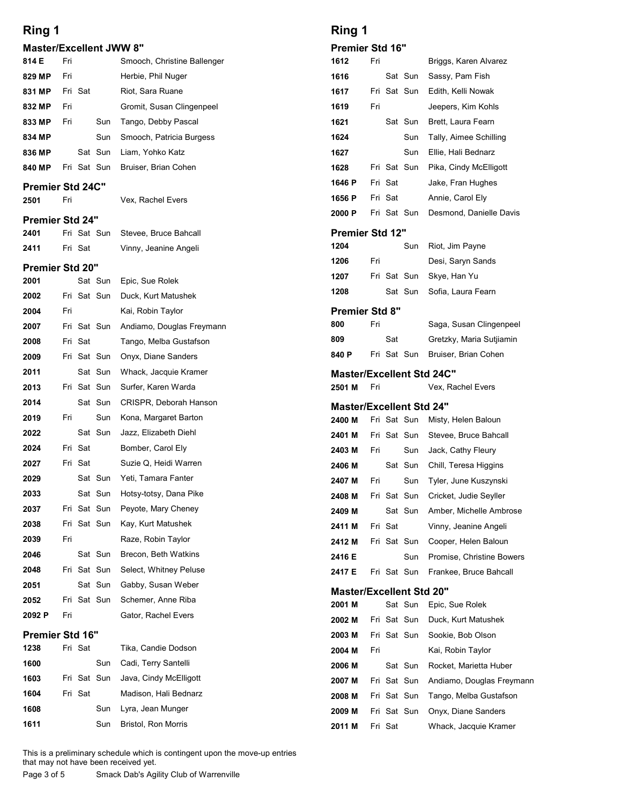# Master/Excellent JWW 8" 814 E Fri Smooch, Christine Ballenger Contains the Smooth, Christine Ballenger 829 MP Fri Herbie, Phil Nuger 11 Riot, Sara Ruane<br>11 Gromit, Susan Clingenpeel

| <b>Master/Excellent JWW 8"</b><br>Smooch, Christine Ballenger<br>Herbie, Phil Nuger<br>Riot, Sara Ruane<br>Gromit, Susan Clingenpeel<br>Tango, Debby Pascal<br>Sun<br>Sun<br>Smooch, Patricia Burgess<br>Sat Sun<br>Liam, Yohko Katz<br>Fri Sat Sun<br>Bruiser, Brian Cohen<br><b>Premier Std 24C"</b><br>Vex, Rachel Evers<br>Fri Sat Sun<br>Stevee, Bruce Bahcall<br>Vinny, Jeanine Angeli | <b>Premier Std 16"</b><br>Fri<br>1612<br>Sat Sun<br>1616<br>Fri Sat Sun<br>1617<br>1619<br>Fri<br>Sat Sun<br>1621<br>1624<br>Sun<br>1627<br>Sun<br>Fri Sat Sun<br>1628<br>Fri Sat<br>1646 P<br>Fri Sat<br>1656 P                                                                                                                                                                                                                                                                                                                                  |
|----------------------------------------------------------------------------------------------------------------------------------------------------------------------------------------------------------------------------------------------------------------------------------------------------------------------------------------------------------------------------------------------|---------------------------------------------------------------------------------------------------------------------------------------------------------------------------------------------------------------------------------------------------------------------------------------------------------------------------------------------------------------------------------------------------------------------------------------------------------------------------------------------------------------------------------------------------|
|                                                                                                                                                                                                                                                                                                                                                                                              |                                                                                                                                                                                                                                                                                                                                                                                                                                                                                                                                                   |
|                                                                                                                                                                                                                                                                                                                                                                                              |                                                                                                                                                                                                                                                                                                                                                                                                                                                                                                                                                   |
|                                                                                                                                                                                                                                                                                                                                                                                              |                                                                                                                                                                                                                                                                                                                                                                                                                                                                                                                                                   |
|                                                                                                                                                                                                                                                                                                                                                                                              |                                                                                                                                                                                                                                                                                                                                                                                                                                                                                                                                                   |
|                                                                                                                                                                                                                                                                                                                                                                                              |                                                                                                                                                                                                                                                                                                                                                                                                                                                                                                                                                   |
|                                                                                                                                                                                                                                                                                                                                                                                              |                                                                                                                                                                                                                                                                                                                                                                                                                                                                                                                                                   |
|                                                                                                                                                                                                                                                                                                                                                                                              |                                                                                                                                                                                                                                                                                                                                                                                                                                                                                                                                                   |
|                                                                                                                                                                                                                                                                                                                                                                                              |                                                                                                                                                                                                                                                                                                                                                                                                                                                                                                                                                   |
|                                                                                                                                                                                                                                                                                                                                                                                              |                                                                                                                                                                                                                                                                                                                                                                                                                                                                                                                                                   |
|                                                                                                                                                                                                                                                                                                                                                                                              |                                                                                                                                                                                                                                                                                                                                                                                                                                                                                                                                                   |
|                                                                                                                                                                                                                                                                                                                                                                                              | Fri Sat Sun<br>2000 P                                                                                                                                                                                                                                                                                                                                                                                                                                                                                                                             |
|                                                                                                                                                                                                                                                                                                                                                                                              | <b>Premier Std 12"</b><br>1204<br>Sun                                                                                                                                                                                                                                                                                                                                                                                                                                                                                                             |
|                                                                                                                                                                                                                                                                                                                                                                                              | 1206<br>Fri                                                                                                                                                                                                                                                                                                                                                                                                                                                                                                                                       |
| Epic, Sue Rolek                                                                                                                                                                                                                                                                                                                                                                              | Fri Sat Sun<br>1207                                                                                                                                                                                                                                                                                                                                                                                                                                                                                                                               |
| Sat Sun<br>Fri Sat Sun<br>Duck, Kurt Matushek                                                                                                                                                                                                                                                                                                                                                | Sat Sun<br>1208                                                                                                                                                                                                                                                                                                                                                                                                                                                                                                                                   |
| Kai, Robin Taylor                                                                                                                                                                                                                                                                                                                                                                            | <b>Premier Std 8"</b>                                                                                                                                                                                                                                                                                                                                                                                                                                                                                                                             |
| Andiamo, Douglas Freymann                                                                                                                                                                                                                                                                                                                                                                    | 800<br>Fri                                                                                                                                                                                                                                                                                                                                                                                                                                                                                                                                        |
| Tango, Melba Gustafson                                                                                                                                                                                                                                                                                                                                                                       | Sat<br>809                                                                                                                                                                                                                                                                                                                                                                                                                                                                                                                                        |
| Onyx, Diane Sanders                                                                                                                                                                                                                                                                                                                                                                          | Fri Sat Sun<br>840 P                                                                                                                                                                                                                                                                                                                                                                                                                                                                                                                              |
| Whack, Jacquie Kramer                                                                                                                                                                                                                                                                                                                                                                        | <b>Master/Excellent Std</b>                                                                                                                                                                                                                                                                                                                                                                                                                                                                                                                       |
| Surfer, Karen Warda                                                                                                                                                                                                                                                                                                                                                                          | 2501 M<br>Fri                                                                                                                                                                                                                                                                                                                                                                                                                                                                                                                                     |
| CRISPR, Deborah Hanson                                                                                                                                                                                                                                                                                                                                                                       | <b>Master/Excellent Std</b>                                                                                                                                                                                                                                                                                                                                                                                                                                                                                                                       |
|                                                                                                                                                                                                                                                                                                                                                                                              | Fri Sat Sun<br>2400 M                                                                                                                                                                                                                                                                                                                                                                                                                                                                                                                             |
|                                                                                                                                                                                                                                                                                                                                                                                              | Fri Sat Sun<br>2401 M                                                                                                                                                                                                                                                                                                                                                                                                                                                                                                                             |
|                                                                                                                                                                                                                                                                                                                                                                                              | Sun<br>2403 M<br>Fri<br>Sat Sun                                                                                                                                                                                                                                                                                                                                                                                                                                                                                                                   |
| Yeti, Tamara Fanter                                                                                                                                                                                                                                                                                                                                                                          | 2406 M<br>Sun<br>2407 M<br>Fri                                                                                                                                                                                                                                                                                                                                                                                                                                                                                                                    |
| Hotsy-totsy, Dana Pike                                                                                                                                                                                                                                                                                                                                                                       | Fri Sat Sun<br>2408 M                                                                                                                                                                                                                                                                                                                                                                                                                                                                                                                             |
| Peyote, Mary Cheney                                                                                                                                                                                                                                                                                                                                                                          | Sat Sun<br>2409 M                                                                                                                                                                                                                                                                                                                                                                                                                                                                                                                                 |
| Kay, Kurt Matushek                                                                                                                                                                                                                                                                                                                                                                           | Fri Sat<br>2411 M                                                                                                                                                                                                                                                                                                                                                                                                                                                                                                                                 |
| Raze, Robin Taylor                                                                                                                                                                                                                                                                                                                                                                           | Fri Sat Sun<br>2412 M                                                                                                                                                                                                                                                                                                                                                                                                                                                                                                                             |
| Brecon, Beth Watkins                                                                                                                                                                                                                                                                                                                                                                         | 2416 E<br>Sun                                                                                                                                                                                                                                                                                                                                                                                                                                                                                                                                     |
|                                                                                                                                                                                                                                                                                                                                                                                              | Fri Sat Sun<br>2417 E                                                                                                                                                                                                                                                                                                                                                                                                                                                                                                                             |
|                                                                                                                                                                                                                                                                                                                                                                                              | <b>Master/Excellent Std</b>                                                                                                                                                                                                                                                                                                                                                                                                                                                                                                                       |
|                                                                                                                                                                                                                                                                                                                                                                                              | Sat Sun<br>2001 M                                                                                                                                                                                                                                                                                                                                                                                                                                                                                                                                 |
|                                                                                                                                                                                                                                                                                                                                                                                              | Fri Sat Sun<br>2002 M<br>Fri Sat Sun<br>2003 M                                                                                                                                                                                                                                                                                                                                                                                                                                                                                                    |
| Tika, Candie Dodson                                                                                                                                                                                                                                                                                                                                                                          | 2004 M<br>Fri                                                                                                                                                                                                                                                                                                                                                                                                                                                                                                                                     |
| Cadi, Terry Santelli                                                                                                                                                                                                                                                                                                                                                                         | Sat Sun<br>2006 M                                                                                                                                                                                                                                                                                                                                                                                                                                                                                                                                 |
| Java, Cindy McElligott                                                                                                                                                                                                                                                                                                                                                                       | Fri Sat Sun<br>2007 M                                                                                                                                                                                                                                                                                                                                                                                                                                                                                                                             |
| Madison, Hali Bednarz                                                                                                                                                                                                                                                                                                                                                                        | Fri Sat Sun<br>2008 M                                                                                                                                                                                                                                                                                                                                                                                                                                                                                                                             |
| Lyra, Jean Munger                                                                                                                                                                                                                                                                                                                                                                            | Fri Sat Sun<br>2009 M                                                                                                                                                                                                                                                                                                                                                                                                                                                                                                                             |
| Bristol, Ron Morris                                                                                                                                                                                                                                                                                                                                                                          | 2011 M<br>Fri Sat                                                                                                                                                                                                                                                                                                                                                                                                                                                                                                                                 |
|                                                                                                                                                                                                                                                                                                                                                                                              | Fri Sat Sun<br>Fri Sat Sun<br>Sat Sun<br>Fri Sat Sun<br>Sat Sun<br>Sun<br>Kona, Margaret Barton<br>Sat Sun<br>Jazz, Elizabeth Diehl<br>Bomber, Carol Ely<br>Suzie Q, Heidi Warren<br>Sat Sun<br>Sat Sun<br>Fri Sat Sun<br>Fri Sat Sun<br>Sat Sun<br>Fri Sat Sun<br>Select, Whitney Peluse<br>Sat Sun<br>Gabby, Susan Weber<br>Fri Sat Sun<br>Schemer, Anne Riba<br>Gator, Rachel Evers<br>Sun<br>Fri Sat Sun<br>Sun<br>Sun<br>This is a preliminary schedule which is contingent upon the move-up entries<br>that may not have been received yet. |

#### Premier Std 16"

| 1238 | Fri Sat | Tika. Candie Dodson                | 2004 M | Fı |
|------|---------|------------------------------------|--------|----|
| 1600 | Sun     | Cadi, Terry Santelli               | 2006 M |    |
| 1603 |         | Fri Sat Sun Java, Cindy McElligott | 2007 M | Fı |
| 1604 | Fri Sat | Madison, Hali Bednarz              | 2008 M | Fı |
| 1608 | Sun     | Lyra, Jean Munger                  | 2009 M | Fı |
| 1611 | Sun     | <b>Bristol, Ron Morris</b>         | 2011 M | Fι |
|      |         |                                    |        |    |

## Ring 1

| Ring 1<br>Premier Std 16"                  |     |                            |             |                                                  |
|--------------------------------------------|-----|----------------------------|-------------|--------------------------------------------------|
|                                            |     |                            |             |                                                  |
|                                            |     |                            |             |                                                  |
|                                            |     |                            |             |                                                  |
| 1612                                       | Fri |                            |             | Briggs, Karen Alvarez                            |
| 1616                                       |     |                            | Sat Sun     | Sassy, Pam Fish                                  |
| 1617                                       |     | Fri Sat Sun                |             | Edith, Kelli Nowak                               |
| 1619                                       | Fri |                            |             | Jeepers, Kim Kohls                               |
| 1621                                       |     |                            | Sat Sun     | Brett, Laura Fearn                               |
| 1624                                       |     |                            | Sun         | Tally, Aimee Schilling                           |
| 1627                                       |     |                            | Sun         | Ellie, Hali Bednarz                              |
| 1628                                       |     | Fri Sat Sun                |             | Pika, Cindy McElligott                           |
| 1646 P<br>1656 P                           |     | Fri Sat<br>Fri Sat         |             | Jake, Fran Hughes<br>Annie, Carol Ely            |
| 2000 P                                     |     | Fri Sat Sun                |             | Desmond, Danielle Davis                          |
| Premier Std 12"                            |     |                            |             |                                                  |
| 1204                                       |     |                            | Sun         | Riot, Jim Payne                                  |
| 1206                                       | Fri |                            |             | Desi, Saryn Sands                                |
| 1207                                       |     |                            | Fri Sat Sun | Skye, Han Yu                                     |
| 1208                                       |     |                            | Sat Sun     | Sofia, Laura Fearn                               |
| Premier Std 8"                             |     |                            |             |                                                  |
| 800                                        | Fri |                            |             | Saga, Susan Clingenpeel                          |
| 809                                        |     | Sat                        |             | Gretzky, Maria Sutjiamin                         |
| 840 P                                      |     |                            | Fri Sat Sun | Bruiser, Brian Cohen                             |
| <b>Master/Excellent Std 24C"</b><br>2501 M | Fri |                            |             | Vex, Rachel Evers                                |
| <b>Master/Excellent Std 24"</b>            |     |                            |             |                                                  |
| 2400 M                                     |     | Fri Sat Sun                |             | Misty, Helen Baloun                              |
| 2401 M                                     |     |                            | Fri Sat Sun | Stevee, Bruce Bahcall                            |
| 2403 M                                     | Fri |                            | Sun         | Jack, Cathy Fleury                               |
| 2406 M                                     |     |                            | Sat Sun     | Chill, Teresa Higgins                            |
| 2407 M                                     | Fri |                            | Sun         | Tyler, June Kuszynski                            |
| 2408 M                                     |     | Fri Sat Sun                |             | Cricket, Judie Seyller                           |
| 2409 M                                     |     | Fri Sat                    | Sat Sun     | Amber, Michelle Ambrose<br>Vinny, Jeanine Angeli |
| 2411 M<br>2412 M                           |     | Fri Sat Sun                |             | Cooper, Helen Baloun                             |
| 2416 E                                     |     |                            | Sun         | Promise, Christine Bowers                        |
| 2417 E                                     |     | Fri Sat Sun                |             | Frankee, Bruce Bahcall                           |
| <b>Master/Excellent Std 20"</b>            |     |                            |             |                                                  |
| 2001 M                                     |     |                            | Sat Sun     | Epic, Sue Rolek                                  |
| 2002 M                                     |     | Fri Sat Sun                |             | Duck, Kurt Matushek                              |
| 2003 M                                     |     | Fri Sat Sun                |             | Sookie, Bob Olson                                |
| 2004 M                                     | Fri |                            |             | Kai, Robin Taylor                                |
| 2006 M                                     |     |                            | Sat Sun     | Rocket, Marietta Huber                           |
| 2007 M                                     |     | Fri Sat Sun                |             | Andiamo, Douglas Freymann                        |
| 2008 M<br>2009 M                           |     | Fri Sat Sun<br>Fri Sat Sun |             | Tango, Melba Gustafson<br>Onyx, Diane Sanders    |
|                                            |     | Fri Sat                    |             | Whack, Jacquie Kramer                            |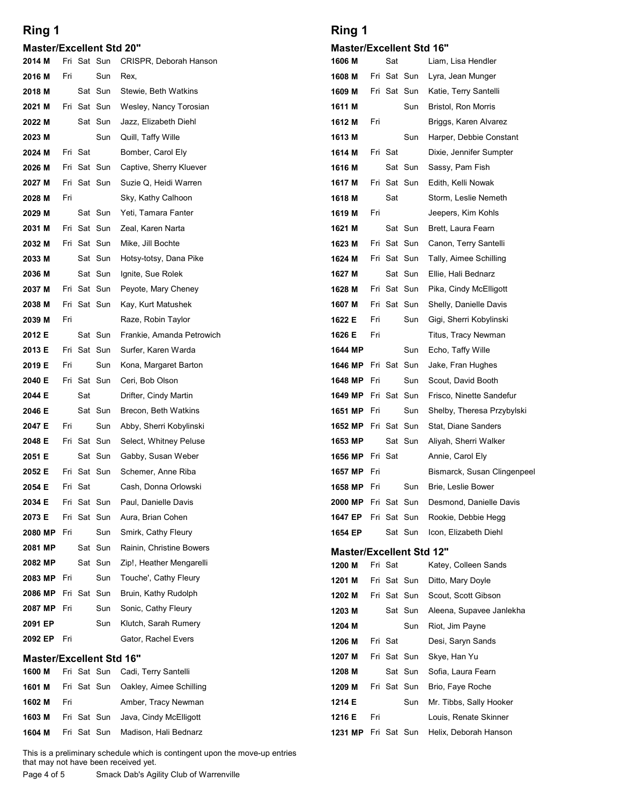#### Master/Excellent Std 20"

| Ring 1                          |     |         |                        |                                                                                                                                                                | Ring 1                      |     |         |                        |  |
|---------------------------------|-----|---------|------------------------|----------------------------------------------------------------------------------------------------------------------------------------------------------------|-----------------------------|-----|---------|------------------------|--|
| <b>Master/Excellent Std 20"</b> |     |         |                        |                                                                                                                                                                | <b>Master/Excellent Std</b> |     |         |                        |  |
| 2014 M                          |     |         | Fri Sat Sun            | <b>CRISPR, Deborah Hanson</b>                                                                                                                                  | 1606 M                      |     | Sat     |                        |  |
| 2016 M                          | Fri |         | Sun                    | Rex,                                                                                                                                                           | 1608 M                      |     |         | Fri Sat Sun            |  |
| 2018 M                          |     |         | Sat Sun                | Stewie, Beth Watkins                                                                                                                                           | 1609 M                      |     |         | Fri Sat Sun            |  |
| 2021 M<br>2022 M                |     |         | Fri Sat Sun<br>Sat Sun | Wesley, Nancy Torosian<br>Jazz, Elizabeth Diehl                                                                                                                | 1611 M<br>1612 M            | Fri |         | Sun                    |  |
| 2023 M                          |     |         | Sun                    | Quill, Taffy Wille                                                                                                                                             | 1613 M                      |     |         | Sun                    |  |
| 2024 M                          |     | Fri Sat |                        | Bomber, Carol Ely                                                                                                                                              | 1614 M                      |     | Fri Sat |                        |  |
| 2026 M                          |     |         | Fri Sat Sun            | Captive, Sherry Kluever                                                                                                                                        | 1616 M                      |     |         | Sat Sun                |  |
| 2027 M                          |     |         | Fri Sat Sun            | Suzie Q, Heidi Warren                                                                                                                                          | 1617 M                      |     |         | Fri Sat Sun            |  |
| 2028 M                          | Fri |         |                        | Sky, Kathy Calhoon                                                                                                                                             | 1618 M                      |     | Sat     |                        |  |
| 2029 M                          |     |         | Sat Sun<br>Fri Sat Sun | Yeti, Tamara Fanter                                                                                                                                            | 1619 M                      | Fri |         | Sat Sun                |  |
| 2031 M<br>2032 M                |     |         | Fri Sat Sun            | Zeal, Karen Narta<br>Mike, Jill Bochte                                                                                                                         | 1621 M<br>1623 M            |     |         | Fri Sat Sun            |  |
| 2033 M                          |     |         | Sat Sun                | Hotsy-totsy, Dana Pike                                                                                                                                         | 1624 M                      |     |         | Fri Sat Sun            |  |
| 2036 M                          |     |         | Sat Sun                | Ignite, Sue Rolek                                                                                                                                              | 1627 M                      |     |         | Sat Sun                |  |
| 2037 M                          |     |         | Fri Sat Sun            | Peyote, Mary Cheney                                                                                                                                            | 1628 M                      |     |         | Fri Sat Sun            |  |
| 2038 M                          |     |         | Fri Sat Sun            | Kay, Kurt Matushek                                                                                                                                             | 1607 M                      |     |         | Fri Sat Sun            |  |
| 2039 M                          | Fri |         |                        | Raze, Robin Taylor                                                                                                                                             | 1622 E                      | Fri |         | Sun                    |  |
| 2012 E<br>2013 E                |     |         | Sat Sun<br>Fri Sat Sun | Frankie, Amanda Petrowich<br>Surfer, Karen Warda                                                                                                               | 1626 E<br>1644 MP           | Fri |         | Sun                    |  |
| 2019 E                          | Fri |         | Sun                    | Kona, Margaret Barton                                                                                                                                          | 1646 MP                     |     |         | Fri Sat Sun            |  |
| 2040 E                          |     |         | Fri Sat Sun            | Ceri, Bob Olson                                                                                                                                                | 1648 MP                     | Fri |         | Sun                    |  |
| 2044 E                          |     | Sat     |                        | Drifter, Cindy Martin                                                                                                                                          | 1649 MP                     |     |         | Fri Sat Sun            |  |
| 2046 E                          |     |         | Sat Sun                | Brecon, Beth Watkins                                                                                                                                           | 1651 MP Fri                 |     |         | Sun                    |  |
| 2047 E                          | Fri |         | Sun                    | Abby, Sherri Kobylinski                                                                                                                                        | <b>1652 MP</b> Fri Sat Sun  |     |         |                        |  |
| 2048 E                          |     |         | Fri Sat Sun            | Select, Whitney Peluse                                                                                                                                         | 1653 MP                     |     |         | Sat Sun                |  |
| 2051 E<br>2052 E                |     |         | Sat Sun<br>Fri Sat Sun | Gabby, Susan Weber<br>Schemer, Anne Riba                                                                                                                       | 1656 MP<br>1657 MP          | Fri | Fri Sat |                        |  |
| 2054 E                          |     | Fri Sat |                        | Cash, Donna Orlowski                                                                                                                                           | 1658 MP                     | Fri |         | Sun                    |  |
| 2034 E                          |     |         | Fri Sat Sun            | Paul, Danielle Davis                                                                                                                                           | 2000 MP Fri Sat Sun         |     |         |                        |  |
| 2073 E                          |     |         | Fri Sat Sun            | Aura, Brian Cohen                                                                                                                                              | 1647 EP                     |     |         | Fri Sat Sun            |  |
| 2080 MP                         | Fri |         | Sun                    | Smirk, Cathy Fleury                                                                                                                                            | 1654 EP                     |     |         | Sat Sun                |  |
| 2081 MP                         |     |         | Sat Sun                | Rainin, Christine Bowers                                                                                                                                       | <b>Master/Excellent Std</b> |     |         |                        |  |
| 2082 MP                         |     |         | Sat Sun                | Zip!, Heather Mengarelli                                                                                                                                       | 1200 M                      |     | Fri Sat |                        |  |
| 2083 MP<br>2086 MP              | Fri |         | Sun<br>Fri Sat Sun     | Touche', Cathy Fleury<br>Bruin, Kathy Rudolph                                                                                                                  | 1201 M                      |     |         | Fri Sat Sun            |  |
| 2087 MP                         | Fri |         | Sun                    | Sonic, Cathy Fleury                                                                                                                                            | 1202 M<br>1203 M            |     |         | Fri Sat Sun<br>Sat Sun |  |
| 2091 EP                         |     |         | Sun                    | Klutch, Sarah Rumery                                                                                                                                           | 1204 M                      |     |         | Sun                    |  |
| 2092 EP                         | Fri |         |                        | Gator, Rachel Evers                                                                                                                                            | 1206 M                      |     | Fri Sat |                        |  |
| <b>Master/Excellent Std 16"</b> |     |         |                        |                                                                                                                                                                | 1207 M                      |     |         | Fri Sat Sun            |  |
| 1600 M                          |     |         | Fri Sat Sun            | Cadi, Terry Santelli                                                                                                                                           | 1208 M                      |     |         | Sat Sun                |  |
| 1601 M                          |     |         | Fri Sat Sun            | Oakley, Aimee Schilling                                                                                                                                        | 1209 M                      |     |         | Fri Sat Sun            |  |
| 1602 M                          | Fri |         |                        | Amber, Tracy Newman                                                                                                                                            | 1214 E                      |     |         | Sun                    |  |
| 1603 M                          |     |         | Fri Sat Sun            | Java, Cindy McElligott                                                                                                                                         | 1216 E                      | Fri |         |                        |  |
| 1604 M                          |     |         | Fri Sat Sun            | Madison, Hali Bednarz                                                                                                                                          | <b>1231 MP</b> Fri Sat Sun  |     |         |                        |  |
| Page 4 of 5                     |     |         |                        | This is a preliminary schedule which is contingent upon the move-up entries<br>that may not have been received yet.<br>Smack Dab's Agility Club of Warrenville |                             |     |         |                        |  |

|        | <b>Master/Excellent Std 16"</b> |                                                   | 1207 M | — Fri ∹ |
|--------|---------------------------------|---------------------------------------------------|--------|---------|
|        |                                 | <b>1600 M</b> Fri Sat Sun Cadi, Terry Santelli    | 1208 M |         |
|        |                                 | <b>1601 M</b> Fri Sat Sun Oakley, Aimee Schilling | 1209 M | Fri :   |
| 1602 M | Fri                             | Amber, Tracy Newman                               | 1214 E |         |
|        |                                 | <b>1603 M</b> Fri Sat Sun Java, Cindy McElligott  | 1216 E | Fri     |
|        |                                 |                                                   |        |         |

### Ring 1

#### Master/Excellent Std 16"

| Ring 1                          |     |                                           |                            |                                                  |
|---------------------------------|-----|-------------------------------------------|----------------------------|--------------------------------------------------|
|                                 |     |                                           |                            |                                                  |
|                                 |     |                                           |                            |                                                  |
|                                 |     |                                           |                            |                                                  |
|                                 |     |                                           |                            |                                                  |
|                                 |     |                                           |                            |                                                  |
|                                 |     |                                           |                            |                                                  |
|                                 |     |                                           |                            |                                                  |
| <b>Master/Excellent Std 16"</b> |     |                                           |                            |                                                  |
| 1606 M                          |     | Sat                                       |                            | Liam, Lisa Hendler                               |
| 1608 M                          |     |                                           | Fri Sat Sun                | Lyra, Jean Munger                                |
| 1609 M                          |     | Fri Sat Sun                               |                            | Katie, Terry Santelli                            |
| 1611 M                          | Fri |                                           | Sun                        | Bristol, Ron Morris                              |
| 1612 M<br>1613 M                |     |                                           | Sun                        | Briggs, Karen Alvarez<br>Harper, Debbie Constant |
| 1614 M                          |     | Fri Sat                                   |                            | Dixie, Jennifer Sumpter                          |
| 1616 M                          |     |                                           | Sat Sun                    | Sassy, Pam Fish                                  |
| 1617 M                          |     | Fri Sat Sun                               |                            | Edith, Kelli Nowak                               |
| 1618 M                          |     | Sat                                       |                            | Storm, Leslie Nemeth                             |
| 1619 M                          | Fri |                                           |                            | Jeepers, Kim Kohls                               |
| 1621 M                          |     |                                           | Sat Sun                    | Brett, Laura Fearn                               |
| 1623 M                          |     | Fri Sat Sun                               |                            | Canon, Terry Santelli                            |
| 1624 M                          |     | Fri Sat Sun                               |                            | Tally, Aimee Schilling                           |
| 1627 M                          |     |                                           | Sat Sun                    | Ellie, Hali Bednarz                              |
| 1628 M<br>1607 M                |     |                                           | Fri Sat Sun<br>Fri Sat Sun | Pika, Cindy McElligott<br>Shelly, Danielle Davis |
| 1622 E                          | Fri |                                           | Sun                        | Gigi, Sherri Kobylinski                          |
| 1626 E                          | Fri |                                           |                            | Titus, Tracy Newman                              |
| 1644 MP                         |     |                                           | Sun                        | Echo, Taffy Wille                                |
| 1646 MP Fri Sat Sun             |     |                                           |                            | Jake, Fran Hughes                                |
| 1648 MP                         | Fri |                                           | Sun                        | Scout, David Booth                               |
| 1649 MP                         |     | Fri Sat Sun                               |                            | Frisco, Ninette Sandefur                         |
| 1651 MP                         | Fri |                                           | Sun                        | Shelby, Theresa Przybylski                       |
| 1652 MP Fri Sat Sun             |     |                                           |                            | Stat, Diane Sanders                              |
| 1653 MP                         |     |                                           | Sat Sun                    | Aliyah, Sherri Walker                            |
| 1656 MP<br>1657 MP              | Fri | Fri Sat                                   |                            | Annie, Carol Ely<br>Bismarck, Susan Clingenpeel  |
| 1658 MP                         | Fri |                                           | Sun                        | Brie, Leslie Bower                               |
| 2000 MP                         |     | Fri Sat Sun                               |                            | Desmond, Danielle Davis                          |
| 1647 EP                         |     | Fri Sat Sun                               |                            | Rookie, Debbie Hegg                              |
| 1654 EP                         |     |                                           | Sat Sun                    | Icon, Elizabeth Diehl                            |
| <b>Master/Excellent Std 12"</b> |     |                                           |                            |                                                  |
| 1200 M                          |     | Fri Sat                                   |                            | Katey, Colleen Sands                             |
| 1201 M                          |     | Fri Sat Sun                               |                            | Ditto, Mary Doyle                                |
| 1202 M                          |     |                                           | Fri Sat Sun                | Scout, Scott Gibson                              |
| 1203 M                          |     |                                           | Sat Sun                    | Aleena, Supavee Janlekha                         |
| 1204 M                          |     |                                           | Sun                        | Riot, Jim Payne                                  |
| 1206 M                          |     | Fri Sat                                   | Fri Sat Sun                | Desi, Saryn Sands<br>Skye, Han Yu                |
| 1207 M<br>1208 M                |     |                                           | Sat Sun                    | Sofia, Laura Fearn                               |
| 1209 M                          |     |                                           | Fri Sat Sun                | Brio, Faye Roche                                 |
| 1214 E                          |     |                                           | Sun                        | Mr. Tibbs, Sally Hooker                          |
|                                 | Fri |                                           |                            | Louis, Renate Skinner                            |
| 1216 E                          |     | 1231 MP Fri Sat Sun Helix, Deborah Hanson |                            |                                                  |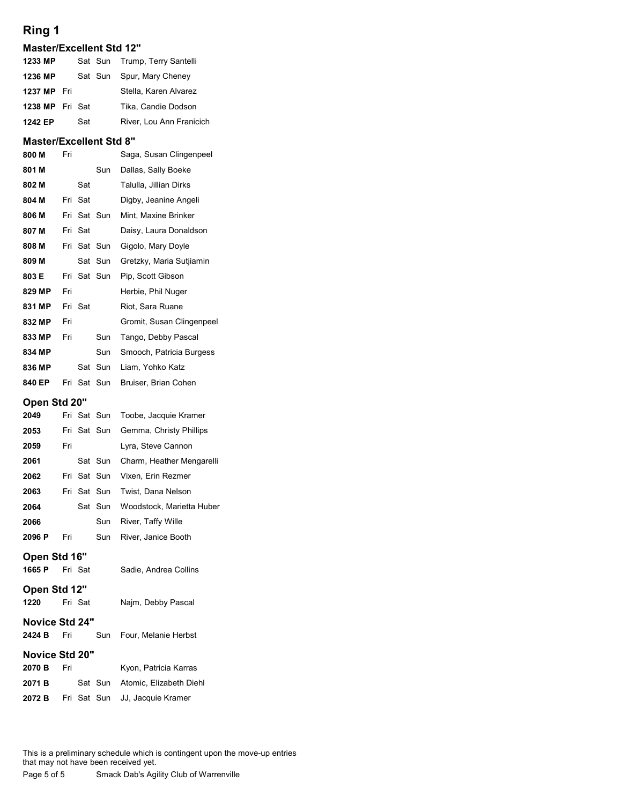| Ring 1                          |     |         |             |                           |
|---------------------------------|-----|---------|-------------|---------------------------|
| <b>Master/Excellent Std 12"</b> |     |         |             |                           |
| 1233 MP                         |     |         | Sat Sun     | Trump, Terry Santelli     |
| 1236 MP                         |     |         | Sat Sun     | Spur, Mary Cheney         |
| 1237 MP                         | Fri |         |             | Stella, Karen Alvarez     |
| 1238 MP                         |     | Fri Sat |             | Tika, Candie Dodson       |
| 1242 EP                         |     | Sat     |             | River, Lou Ann Franicich  |
| <b>Master/Excellent Std 8"</b>  |     |         |             |                           |
| 800 M                           | Fri |         |             | Saga, Susan Clingenpeel   |
| 801 M                           |     |         | Sun         | Dallas, Sally Boeke       |
| 802 M                           |     | Sat     |             | Talulla, Jillian Dirks    |
| 804 M                           |     | Fri Sat |             | Digby, Jeanine Angeli     |
| 806 M                           |     |         | Fri Sat Sun | Mint, Maxine Brinker      |
| 807 M                           |     | Fri Sat |             | Daisy, Laura Donaldson    |
| 808 M                           |     |         | Fri Sat Sun | Gigolo, Mary Doyle        |
| 809 M                           |     |         | Sat Sun     | Gretzky, Maria Sutjiamin  |
| 803 E                           |     |         | Fri Sat Sun | Pip, Scott Gibson         |
| 829 MP                          | Fri |         |             | Herbie, Phil Nuger        |
| 831 MP                          |     | Fri Sat |             | Riot, Sara Ruane          |
| 832 MP                          | Fri |         |             | Gromit, Susan Clingenpeel |
| 833 MP                          | Fri |         | Sun         | Tango, Debby Pascal       |
| 834 MP                          |     |         | Sun         |                           |
|                                 |     |         |             | Smooch, Patricia Burgess  |
| 836 MP                          |     |         | Sat Sun     | Liam, Yohko Katz          |

| 1236 MP                        |     |             | Sat Sun | Spur, Mary Cheney         |
|--------------------------------|-----|-------------|---------|---------------------------|
| 1237 MP                        | Fri |             |         | Stella, Karen Alvarez     |
| 1238 MP                        |     | Fri Sat     |         | Tika, Candie Dodson       |
| 1242 EP                        |     | Sat         |         | River, Lou Ann Franicich  |
| <b>Master/Excellent Std 8"</b> |     |             |         |                           |
| 800 M                          | Fri |             |         | Saga, Susan Clingenpeel   |
| 801 M                          |     |             | Sun     | Dallas, Sally Boeke       |
| 802 M                          |     | Sat         |         | Talulla, Jillian Dirks    |
| 804 M                          |     | Fri Sat     |         | Digby, Jeanine Angeli     |
| 806 M                          |     | Fri Sat Sun |         | Mint, Maxine Brinker      |
| 807 M                          |     | Fri Sat     |         | Daisy, Laura Donaldson    |
| 808 M                          |     | Fri Sat Sun |         | Gigolo, Mary Doyle        |
| 809 M                          |     |             | Sat Sun | Gretzky, Maria Sutjiamin  |
| 803 E                          |     | Fri Sat Sun |         | Pip, Scott Gibson         |
| 829 MP                         | Fri |             |         | Herbie, Phil Nuger        |
| 831 MP                         |     | Fri Sat     |         | Riot, Sara Ruane          |
| 832 MP                         | Fri |             |         | Gromit, Susan Clingenpeel |
| 833 MP                         | Fri |             | Sun     | Tango, Debby Pascal       |
| 834 MP                         |     |             | Sun     | Smooch, Patricia Burgess  |
| 836 MP                         |     |             | Sat Sun | Liam, Yohko Katz          |
| 840 EP                         |     | Fri Sat Sun |         | Bruiser, Brian Cohen      |
| Open Std 20"                   |     |             |         |                           |
| 2049                           |     | Fri Sat Sun |         | Toobe, Jacquie Kramer     |
| 2053                           |     | Fri Sat Sun |         | Gemma, Christy Phillips   |
| 2059                           | Fri |             |         | Lyra, Steve Cannon        |
| 2061                           |     |             | Sat Sun | Charm, Heather Mengarelli |
| 2062                           |     | Fri Sat Sun |         | Vixen, Erin Rezmer        |
| 2063                           |     | Fri Sat Sun |         | Twist, Dana Nelson        |
| 2064                           |     |             | Sat Sun | Woodstock, Marietta Huber |
| 2066                           |     |             | Sun     | River, Taffy Wille        |
| 2096 P                         | Fri |             | Sun     | River, Janice Booth       |
| Open Std 16"                   |     |             |         |                           |
| 1665 P                         |     | Fri Sat     |         | Sadie Andrea Collins      |

### Open Std 20"

| 803 E                               |     |         | Fri Sat Sun | Pip, Scott Gibson                                                           |
|-------------------------------------|-----|---------|-------------|-----------------------------------------------------------------------------|
| 829 MP                              | Fri |         |             | Herbie, Phil Nuger                                                          |
| 831 MP                              |     | Fri Sat |             | Riot, Sara Ruane                                                            |
| 832 MP                              | Fri |         |             | Gromit, Susan Clingenpeel                                                   |
| 833 MP                              | Fri |         | Sun         | Tango, Debby Pascal                                                         |
| 834 MP                              |     |         | Sun         | Smooch, Patricia Burgess                                                    |
| 836 MP                              |     |         | Sat Sun     | Liam, Yohko Katz                                                            |
| 840 EP                              |     |         | Fri Sat Sun | Bruiser, Brian Cohen                                                        |
| Open Std 20"                        |     |         |             |                                                                             |
| 2049                                |     |         | Fri Sat Sun | Toobe, Jacquie Kramer                                                       |
| 2053                                |     |         | Fri Sat Sun | Gemma, Christy Phillips                                                     |
| 2059                                | Fri |         |             | Lyra, Steve Cannon                                                          |
| 2061                                |     |         | Sat Sun     | Charm, Heather Mengarelli                                                   |
| 2062                                |     |         | Fri Sat Sun | Vixen, Erin Rezmer                                                          |
| 2063                                |     |         | Fri Sat Sun | Twist, Dana Nelson                                                          |
| 2064                                |     |         | Sat Sun     | Woodstock, Marietta Huber                                                   |
| 2066                                |     |         | Sun         | River, Taffy Wille                                                          |
| 2096 P                              | Fri |         | Sun         | River, Janice Booth                                                         |
| Open Std 16"                        |     |         |             |                                                                             |
| 1665 P                              |     | Fri Sat |             | Sadie, Andrea Collins                                                       |
| Open Std 12"                        |     |         |             |                                                                             |
| 1220                                |     | Fri Sat |             | Najm, Debby Pascal                                                          |
| <b>Novice Std 24"</b>               |     |         |             |                                                                             |
| 2424 B                              | Fri |         | Sun         | Four, Melanie Herbst                                                        |
| Novice Std 20"                      |     |         |             |                                                                             |
| 2070 B                              | Fri |         |             | Kyon, Patricia Karras                                                       |
| 2071 B                              |     |         | Sat Sun     | Atomic, Elizabeth Diehl                                                     |
| 2072 B                              |     |         | Fri Sat Sun | JJ, Jacquie Kramer                                                          |
|                                     |     |         |             |                                                                             |
|                                     |     |         |             |                                                                             |
| that may not have hean received yet |     |         |             | This is a preliminary schedule which is contingent upon the move-up entries |

#### Open Std 16"

### Open Std 12"

| 1220 | Fri Sat | Najm, Debby Pascal |
|------|---------|--------------------|
|      |         |                    |

### Novice Std 24"

### Novice Std 20"

| 2070 B | Fri | Kyon, Patricia Karras                        |
|--------|-----|----------------------------------------------|
| 2071 B |     | Sat Sun Atomic, Elizabeth Diehl              |
|        |     | <b>2072 B</b> Fri Sat Sun JJ, Jacquie Kramer |

Exameration Sun River, Taffy Wille<br>
2066 Sun River, Taffy Wille<br>
10966 P Fri Sat Sadie, Andrea Collins<br>
1665 P Fri Sat Sadie, Andrea Collins<br>
17220 Fri Sat Najm, Debby Pascal<br>
18724 B Fri Sat Najm, Debby Pascal<br>
18724 B Fr This is a preliminary schedule which is contingent upon the move-up entries that may not have been received yet.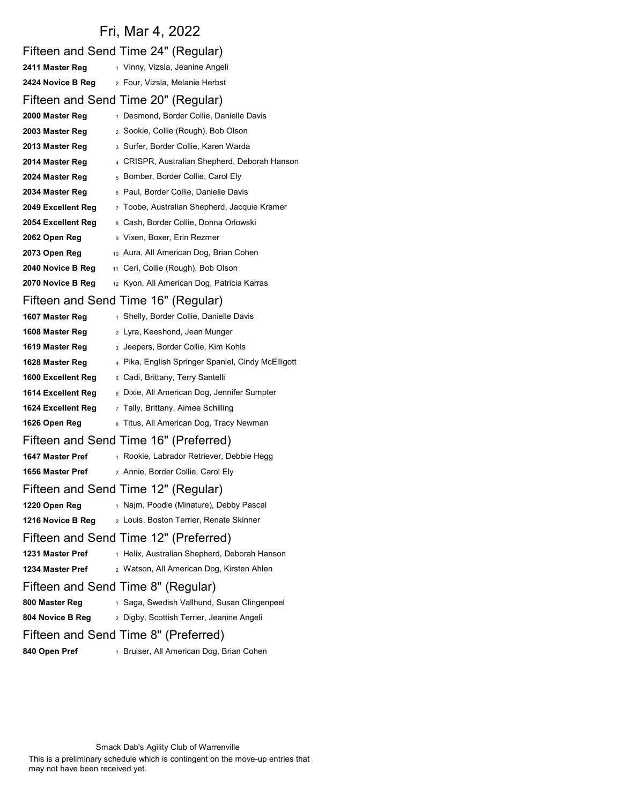# Fri, Mar 4, 2022

| Fifteen and Send Time 24" (Regular)                                      |  |
|--------------------------------------------------------------------------|--|
| 1 Vinny, Vizsla, Jeanine Angeli<br>2411 Master Reg                       |  |
| 2 Four, Vizsla, Melanie Herbst<br>2424 Novice B Reg                      |  |
| Fifteen and Send Time 20" (Regular)                                      |  |
| 1 Desmond, Border Collie, Danielle Davis<br>2000 Master Reg              |  |
| 2 Sookie, Collie (Rough), Bob Olson<br>2003 Master Reg                   |  |
| 3 Surfer, Border Collie, Karen Warda<br>2013 Master Reg                  |  |
| 4 CRISPR, Australian Shepherd, Deborah Hanson<br>2014 Master Reg         |  |
| 5 Bomber, Border Collie, Carol Ely<br>2024 Master Reg                    |  |
| 6 Paul, Border Collie, Danielle Davis<br>2034 Master Reg                 |  |
| 2049 Excellent Reg<br>7 Toobe, Australian Shepherd, Jacquie Kramer       |  |
| 2054 Excellent Reg<br>8 Cash, Border Collie, Donna Orlowski              |  |
| 9 Vixen, Boxer, Erin Rezmer<br>2062 Open Reg                             |  |
| 10 Aura, All American Dog, Brian Cohen<br>2073 Open Reg                  |  |
| <sub>11</sub> Ceri, Collie (Rough), Bob Olson<br>2040 Novice B Reg       |  |
| 12 Kyon, All American Dog, Patricia Karras<br>2070 Novice B Reg          |  |
| Fifteen and Send Time 16" (Regular)                                      |  |
| 1 Shelly, Border Collie, Danielle Davis<br>1607 Master Reg               |  |
| 2 Lyra, Keeshond, Jean Munger<br>1608 Master Reg                         |  |
| 1619 Master Reg<br>3 Jeepers, Border Collie, Kim Kohls                   |  |
| 4 Pika, English Springer Spaniel, Cindy McElligott<br>1628 Master Reg    |  |
| 1600 Excellent Reg<br><sub>5</sub> Cadi, Brittany, Terry Santelli        |  |
| 6 Dixie, All American Dog, Jennifer Sumpter<br>1614 Excellent Reg        |  |
| 1624 Excellent Reg<br>7 Tally, Brittany, Aimee Schilling                 |  |
| 8 Titus, All American Dog, Tracy Newman<br>1626 Open Reg                 |  |
| Fifteen and Send Time 16" (Preferred)                                    |  |
| 1647 Master Pref<br>1 Rookie, Labrador Retriever, Debbie Hegg            |  |
| 2 Annie, Border Collie, Carol Ely<br>1656 Master Pref                    |  |
| Fifteen and Send Time 12" (Regular)                                      |  |
| 1 Najm, Poodle (Minature), Debby Pascal<br>1220 Open Reg                 |  |
| 2 Louis, Boston Terrier, Renate Skinner<br>1216 Novice B Reg             |  |
| Fifteen and Send Time 12" (Preferred)                                    |  |
| 1231 Master Pref<br>1 Helix, Australian Shepherd, Deborah Hanson         |  |
| 1234 Master Pref<br><sub>2</sub> Watson, All American Dog, Kirsten Ahlen |  |
| Fifteen and Send Time 8" (Regular)                                       |  |
| 800 Master Reg<br>1 Saga, Swedish Vallhund, Susan Clingenpeel            |  |
| 804 Novice B Reg<br>2 Digby, Scottish Terrier, Jeanine Angeli            |  |
| Fifteen and Send Time 8" (Preferred)                                     |  |
| 840 Open Pref<br><sup>1</sup> Bruiser, All American Dog, Brian Cohen     |  |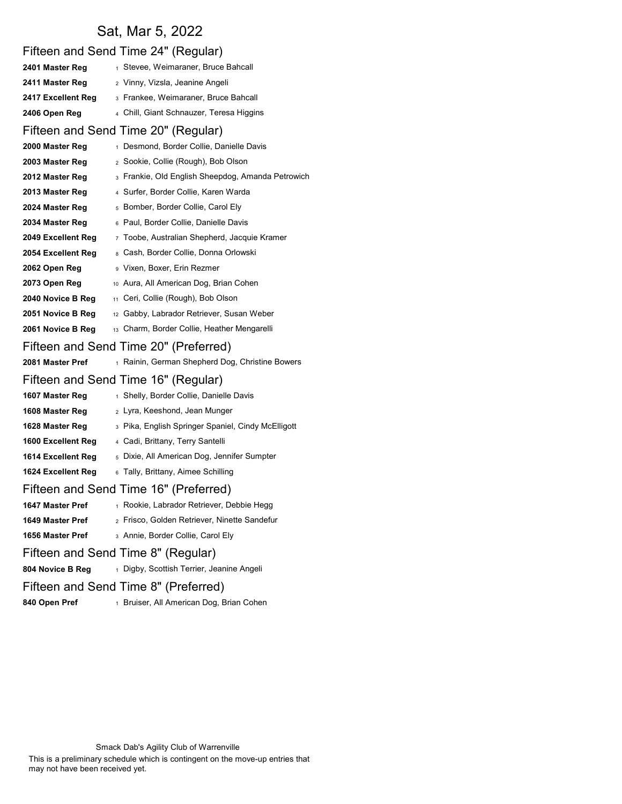## Sat, Mar 5, 2022

|                    | Fifteen and Send Time 24" (Regular)                  |
|--------------------|------------------------------------------------------|
| 2401 Master Reg    | 1 Stevee, Weimaraner, Bruce Bahcall                  |
| 2411 Master Reg    | 2 Vinny, Vizsla, Jeanine Angeli                      |
| 2417 Excellent Reg | 3 Frankee, Weimaraner, Bruce Bahcall                 |
| 2406 Open Reg      | 4 Chill, Giant Schnauzer, Teresa Higgins             |
|                    | Fifteen and Send Time 20" (Regular)                  |
| 2000 Master Reg    | 1 Desmond, Border Collie, Danielle Davis             |
| 2003 Master Reg    | 2 Sookie, Collie (Rough), Bob Olson                  |
| 2012 Master Reg    | 3 Frankie, Old English Sheepdog, Amanda Petrowich    |
| 2013 Master Reg    | 4 Surfer, Border Collie, Karen Warda                 |
| 2024 Master Reg    | 5 Bomber, Border Collie, Carol Ely                   |
| 2034 Master Reg    | 6 Paul, Border Collie, Danielle Davis                |
| 2049 Excellent Reg | 7 Toobe, Australian Shepherd, Jacquie Kramer         |
| 2054 Excellent Reg | 8 Cash, Border Collie, Donna Orlowski                |
| 2062 Open Reg      | 9 Vixen, Boxer, Erin Rezmer                          |
| 2073 Open Reg      | 10 Aura, All American Dog, Brian Cohen               |
| 2040 Novice B Reg  | 11 Ceri, Collie (Rough), Bob Olson                   |
| 2051 Novice B Reg  | <sup>12</sup> Gabby, Labrador Retriever, Susan Weber |
| 2061 Novice B Reg  | 13 Charm, Border Collie, Heather Mengarelli          |
|                    | Fifteen and Send Time 20" (Preferred)                |
| 2081 Master Pref   | 1 Rainin, German Shepherd Dog, Christine Bowers      |
|                    | Fifteen and Send Time 16" (Regular)                  |
| 1607 Master Reg    | 1 Shelly, Border Collie, Danielle Davis              |
| 1608 Master Reg    | 2 Lyra, Keeshond, Jean Munger                        |
| 1628 Master Reg    | 3 Pika, English Springer Spaniel, Cindy McElligott   |
| 1600 Excellent Reg | 4 Cadi, Brittany, Terry Santelli                     |
| 1614 Excellent Reg | 5 Dixie, All American Dog, Jennifer Sumpter          |
| 1624 Excellent Reg | 6 Tally, Brittany, Aimee Schilling                   |
|                    | Fifteen and Send Time 16" (Preferred)                |
| 1647 Master Pref   | 1 Rookie, Labrador Retriever, Debbie Hegg            |
| 1649 Master Pref   | 2 Frisco, Golden Retriever, Ninette Sandefur         |
| 1656 Master Pref   | 3 Annie, Border Collie, Carol Ely                    |
|                    | Fifteen and Send Time 8" (Regular)                   |
| 804 Novice B Reg   | 1 Digby, Scottish Terrier, Jeanine Angeli            |
|                    | Fifteen and Send Time 8" (Preferred)                 |
| 840 Open Pref      | 1 Bruiser, All American Dog, Brian Cohen             |

This is a preliminary schedule which is contingent on the move-up entries that may not have been received yet.